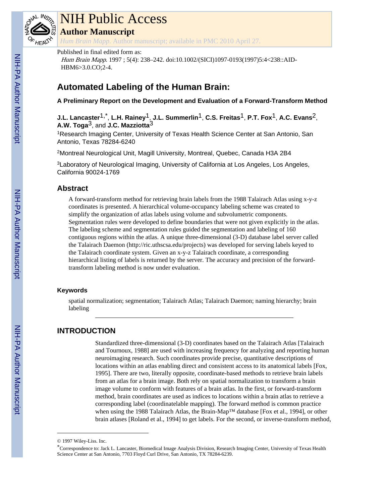

# NIH Public Access

**Author Manuscript**

*Hum Brain Mapp*. Author manuscript; available in PMC 2010 April 27.

#### Published in final edited form as:

Hum Brain Mapp. 1997 ; 5(4): 238–242. doi:10.1002/(SICI)1097-0193(1997)5:4<238::AID-HBM6>3.0.CO;2-4.

# **Automated Labeling of the Human Brain:**

**A Preliminary Report on the Development and Evaluation of a Forward-Transform Method**

**J.L. Lancaster**1,\* , **L.H. Rainey**1, **J.L. Summerlin**1, **C.S. Freitas**1, **P.T. Fox**1, **A.C. Evans**2, **A.W. Toga**3, and **J.C. Mazziotta**3

<sup>1</sup>Research Imaging Center, University of Texas Health Science Center at San Antonio, San Antonio, Texas 78284-6240

<sup>2</sup>Montreal Neurological Unit, Magill University, Montreal, Quebec, Canada H3A 2B4

<sup>3</sup>Laboratory of Neurological Imaging, University of California at Los Angeles, Los Angeles, California 90024-1769

# **Abstract**

A forward-transform method for retrieving brain labels from the 1988 Talairach Atlas using x-y-z coordinates is presented. A hierarchical volume-occupancy labeling scheme was created to simplify the organization of atlas labels using volume and subvolumetric components. Segmentation rules were developed to define boundaries that were not given explicitly in the atlas. The labeling scheme and segmentation rules guided the segmentation and labeling of 160 contiguous regions within the atlas. A unique three-dimensional (3-D) database label server called the Talairach Daemon (<http://ric.uthscsa.edu/projects>) was developed for serving labels keyed to the Talairach coordinate system. Given an x-y-z Talairach coordinate, a corresponding hierarchical listing of labels is returned by the server. The accuracy and precision of the forwardtransform labeling method is now under evaluation.

#### **Keywords**

spatial normalization; segmentation; Talairach Atlas; Talairach Daemon; naming hierarchy; brain labeling

# **INTRODUCTION**

Standardized three-dimensional (3-D) coordinates based on the Talairach Atlas [Talairach and Tournoux, 1988] are used with increasing frequency for analyzing and reporting human neuroimaging research. Such coordinates provide precise, quantitative descriptions of locations within an atlas enabling direct and consistent access to its anatomical labels [Fox, 1995]. There are two, literally opposite, coordinate-based methods to retrieve brain labels from an atlas for a brain image. Both rely on spatial normalization to transform a brain image volume to conform with features of a brain atlas. In the first, or forward-transform method, brain coordinates are used as indices to locations within a brain atlas to retrieve a corresponding label (coordinatelable mapping). The forward method is common practice when using the 1988 Talairach Atlas, the Brain-Map™ database [Fox et al., 1994], or other brain atlases [Roland et al., 1994] to get labels. For the second, or inverse-transform method,

<sup>© 1997</sup> Wiley-Liss. Inc.

<sup>\*</sup>Correspondence to: Jack L. Lancaster, Biomedical Image Analysis Division, Research Imaging Center, University of Texas Health Science Center at San Antonio, 7703 Floyd Curl Drive, San Antonio, TX 78284-6239.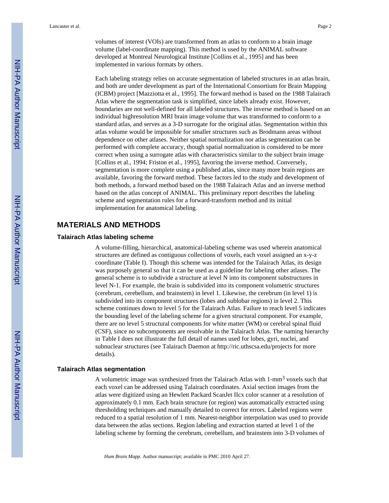volumes of interest (VOIs) are transformed from an atlas to conform to a brain image volume (label-coordinate mapping). This method is used by the ANIMAL software developed at Montreal Neurological Institute [Collins et al., 1995] and has been implemented in various formats by others.

Each labeling strategy relies on accurate segmentation of labeled structures in an atlas brain, and both are under development as part of the International Consortium for Brain Mapping (ICBM) project [Mazziotta et al., 1995]. The forward method is based on the 1988 Talairach Atlas where the segmentation task is simplified, since labels already exist. However, boundaries are not well-defined for all labeled structures. The inverse method is based on an individual highresolution MRI brain image volume that was transformed to conform to a standard atlas, and serves as a 3-D surrogate for the original atlas. Segmentation within this atlas volume would be impossible for smaller structures such as Brodmann areas without dependence on other atlases. Neither spatial normalization nor atlas segmentation can be performed with complete accuracy, though spatial normalization is considered to be more correct when using a surrogate atlas with characteristics similar to the subject brain image [Collins et al., 1994; Friston et al., 1995], favoring the inverse method. Conversely, segmentation is more complete using a published atlas, since many more brain regions are available, favoring the forward method. These factors led to the study and development of both methods, a forward method based on the 1988 Talairach Atlas and an inverse method based on the atlas concept of ANIMAL. This preliminary report describes the labeling scheme and segmentation rules for a forward-transform method and its initial implementation for anatomical labeling.

# **MATERIALS AND METHODS**

#### **Talairach Atlas labeling scheme**

A volume-filling, hierarchical, anatomical-labeling scheme was used wherein anatomical structures are defined as contiguous collections of voxels, each voxel assigned an x-y-z coordinate (Table I). Though this scheme was intended for the Talairach Atlas, its design was purposely general so that it can be used as a guideline for labeling other atlases. The general scheme is to subdivide a structure at level N into its component substructures in level N-1. For example, the brain is subdivided into its component volumetric structures (cerebrum, cerebellum, and brainstem) in level 1. Likewise, the cerebrum (in level 1) is subdivided into its component structures (lobes and sublobar regions) in level 2. This scheme continues down to level 5 for the Talairach Atlas. Failure to reach level 5 indicates the bounding level of the labeling scheme for a given structural component. For example, there are no level 5 structural components for white matter (WM) or cerebral spinal fluid (CSF), since no subcomponents are resolvable in the Talairach Atlas. The naming hierarchy in Table I does not illustrate the full detail of names used for lobes, gyri, nuclei, and subnuclear structures (see Talairach Daemon at<http://ric.uthscsa.edu/projects>for more details).

#### **Talairach Atlas segmentation**

A volumetric image was synthesized from the Talairach Atlas with 1-mm<sup>3</sup> voxels such that each voxel can be addressed using Talairach coordinates. Axial section images from the atlas were digitized using an Hewlett Packard ScanJet IIcx color scanner at a resolution of approximately 0.1 mm. Each brain structure (or region) was automatically extracted using thresholding techniques and manually detailed to correct for errors. Labeled regions were reduced to a spatial resolution of 1 mm. Nearest-neighbor interpolation was used to provide data between the atlas sections. Region labeling and extraction started at level 1 of the labeling scheme by forming the cerebrum, cerebellum, and brainstem into 3-D volumes of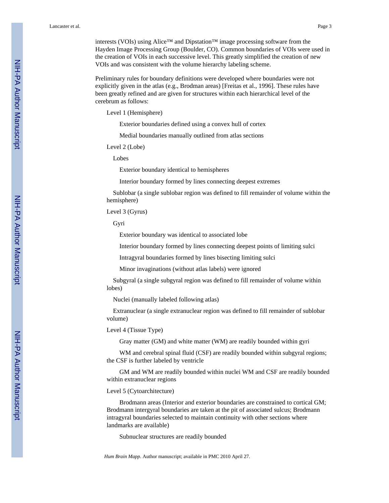interests (VOIs) using Alice™ and Dipstation™ image processing software from the Hayden Image Processing Group (Boulder, CO). Common boundaries of VOIs were used in the creation of VOIs in each successive level. This greatly simplified the creation of new VOIs and was consistent with the volume hierarchy labeling scheme.

Preliminary rules for boundary definitions were developed where boundaries were not explicitly given in the atlas (e.g., Brodman areas) [Freitas et al., 1996]. These rules have been greatly refined and are given for structures within each hierarchical level of the cerebrum as follows:

Level 1 (Hemisphere)

Exterior boundaries defined using a convex hull of cortex

Medial boundaries manually outlined from atlas sections

Level 2 (Lobe)

Lobes

Exterior boundary identical to hemispheres

Interior boundary formed by lines connecting deepest extremes

 Sublobar (a single sublobar region was defined to fill remainder of volume within the hemisphere)

Level 3 (Gyrus)

Gyri

Exterior boundary was identical to associated lobe

Interior boundary formed by lines connecting deepest points of limiting sulci

Intragyral boundaries formed by lines bisecting limiting sulci

Minor invaginations (without atlas labels) were ignored

 Subgyral (a single subgyral region was defined to fill remainder of volume within lobes)

Nuclei (manually labeled following atlas)

 Extranuclear (a single extranuclear region was defined to fill remainder of sublobar volume)

Level 4 (Tissue Type)

Gray matter (GM) and white matter (WM) are readily bounded within gyri

WM and cerebral spinal fluid (CSF) are readily bounded within subgyral regions; the CSF is further labeled by ventricle

 GM and WM are readily bounded within nuclei WM and CSF are readily bounded within extranuclear regions

Level 5 (Cytoarchitecture)

 Brodmann areas (Interior and exterior boundaries are constrained to cortical GM; Brodmann intergyral boundaries are taken at the pit of associated sulcus; Brodmann intragyral boundaries selected to maintain continuity with other sections where landmarks are available)

Subnuclear structures are readily bounded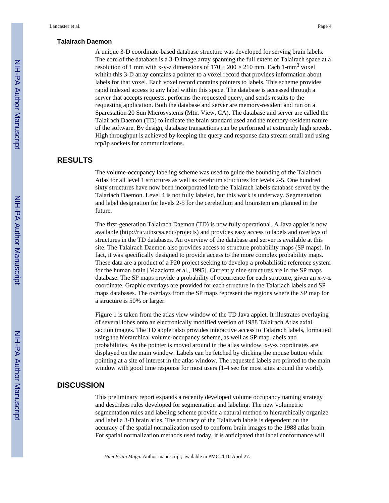#### **Talairach Daemon**

A unique 3-D coordinate-based database structure was developed for serving brain labels. The core of the database is a 3-D image array spanning the full extent of Talairach space at a resolution of 1 mm with x-y-z dimensions of  $170 \times 200 \times 210$  mm. Each 1-mm<sup>3</sup> voxel within this 3-D array contains a pointer to a voxel record that provides information about labels for that voxel. Each voxel record contains pointers to labels. This scheme provides rapid indexed access to any label within this space. The database is accessed through a server that accepts requests, performs the requested query, and sends results to the requesting application. Both the database and server are memory-resident and run on a Sparcstation 20 Sun Microsystems (Mtn. View, CA). The database and server are called the Talairach Daemon (TD) to indicate the brain standard used and the memory-resident nature of the software. By design, database transactions can be performed at extremely high speeds. High throughput is achieved by keeping the query and response data stream small and using tcp/ip sockets for communications.

# **RESULTS**

The volume-occupancy labeling scheme was used to guide the bounding of the Talairach Atlas for all level 1 structures as well as cerebrum structures for levels 2-5. One hundred sixty structures have now been incorporated into the Talairach labels database served by the Talariach Daemon. Level 4 is not fully labeled, but this work is underway. Segmentation and label designation for levels 2-5 for the cerebellum and brainstem are planned in the future.

The first-generation Talairach Daemon (TD) is now fully operational. A Java applet is now available ([http://ric.uthscsa.edu/projects\)](http://ric.uthscsa.edu/projects) and provides easy access to labels and overlays of structures in the TD databases. An overview of the database and server is available at this site. The Talairach Daemon also provides access to structure probability maps (SP maps). In fact, it was specifically designed to provide access to the more complex probability maps. These data are a product of a P20 project seeking to develop a probabilistic reference system for the human brain [Mazziotta et al., 1995]. Currently nine structures are in the SP maps database. The SP maps provide a probability of occurrence for each structure, given an x-y-z coordinate. Graphic overlays are provided for each structure in the Talariach labels and SP maps databases. The overlays from the SP maps represent the regions where the SP map for a structure is 50% or larger.

Figure 1 is taken from the atlas view window of the TD Java applet. It illustrates overlaying of several lobes onto an electronically modified version of 1988 Talairach Atlas axial section images. The TD applet also provides interactive access to Talairach labels, formatted using the hierarchical volume-occupancy scheme, as well as SP map labels and probabilities. As the pointer is moved around in the atlas window, x-y-z coordinates are displayed on the main window. Labels can be fetched by clicking the mouse button while pointing at a site of interest in the atlas window. The requested labels are printed to the main window with good time response for most users (1-4 sec for most sites around the world).

### **DISCUSSION**

This preliminary report expands a recently developed volume occupancy naming strategy and describes rules developed for segmentation and labeling. The new volumetric segmentation rules and labeling scheme provide a natural method to hierarchically organize and label a 3-D brain atlas. The accuracy of the Talairach labels is dependent on the accuracy of the spatial normalization used to conform brain images to the 1988 atlas brain. For spatial normalization methods used today, it is anticipated that label conformance will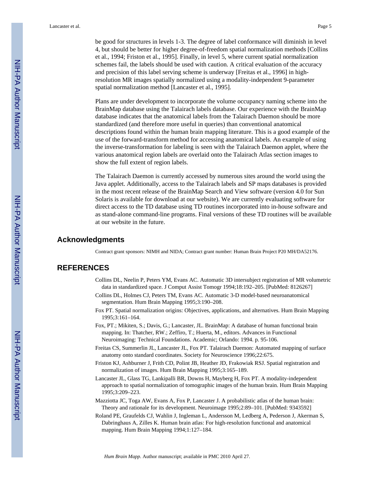be good for structures in levels 1-3. The degree of label conformance will diminish in level 4, but should be better for higher degree-of-freedom spatial normalization methods [Collins et al., 1994; Friston et al., 1995]. Finally, in level 5, where current spatial normalization schemes fail, the labels should be used with caution. A critical evaluation of the accuracy and precision of this label serving scheme is underway [Freitas et al., 1996] in highresolution MR images spatially normalized using a modality-independent 9-parameter spatial normalization method [Lancaster et al., 1995].

Plans are under development to incorporate the volume occupancy naming scheme into the BrainMap database using the Talairach labels database. Our experience with the BrainMap database indicates that the anatomical labels from the Talairach Daemon should be more standardized (and therefore more useful in queries) than conventional anatomical descriptions found within the human brain mapping literature. This is a good example of the use of the forward-transform method for accessing anatomical labels. An example of using the inverse-transformation for labeling is seen with the Talairach Daemon applet, where the various anatomical region labels are overlaid onto the Talairach Atlas section images to show the full extent of region labels.

The Talairach Daemon is currently accessed by numerous sites around the world using the Java applet. Additionally, access to the Talairach labels and SP maps databases is provided in the most recent release of the BrainMap Search and View software (version 4.0 for Sun Solaris is available for download at our website). We are currently evaluating software for direct access to the TD database using TD routines incorporated into in-house software and as stand-alone command-line programs. Final versions of these TD routines will be available at our website in the future.

#### **Acknowledgments**

Contract grant sponsors: NIMH and NIDA; Contract grant number: Human Brain Project P20 MH/DA52176.

#### **REFERENCES**

- Collins DL, Neelin P, Peters YM, Evans AC. Automatic 3D intersubject registration of MR volumetric data in standardized space. J Comput Assist Tomogr 1994;18:192–205. [PubMed: 8126267]
- Collins DL, Holmes CJ, Peters TM, Evans AC. Automatic 3-D model-based neuroanatomical segmentation. Hum Brain Mapping 1995;3:190–208.
- Fox PT. Spatial normalization origins: Objectives, applications, and alternatives. Hum Brain Mapping 1995;3:161–164.
- Fox, PT.; Mikiten, S.; Davis, G.; Lancaster, JL. BrainMap: A database of human functional brain mapping. In: Thatcher, RW.; Zeffiro, T.; Huerta, M., editors. Advances in Functional Neuroimaging: Technical Foundations. Academic; Orlando: 1994. p. 95-106.
- Freitas CS, Summerlin JL, Lancaster JL, Fox PT. Talairach Daemon: Automated mapping of surface anatomy onto standard coordinates. Society for Neuroscience 1996;22:675.
- Friston KJ, Ashburner J, Frith CD, Polint JB, Heather JD, Frakowiak RSJ. Spatial registration and normalization of images. Hum Brain Mapping 1995;3:165–189.
- Lancaster JL, Glass TG, Lankipalli BR, Downs H, Mayberg H, Fox PT. A modality-independent approach to spatial normalization of tomographic images of the human brain. Hum Brain Mapping 1995;3:209–223.
- Mazziotta JC, Toga AW, Evans A, Fox P, Lancaster J. A probabilistic atlas of the human brain: Theory and rationale for its development. Neuroimage 1995;2:89–101. [PubMed: 9343592]
- Roland PE, Graufelds CJ, Wahlin J, Ingleman L, Andersson M, Ledberg A, Pederson J, Akerman S, Dabringhaus A, Zilles K. Human brain atlas: For high-resolution functional and anatomical mapping. Hum Brain Mapping 1994;1:127–184.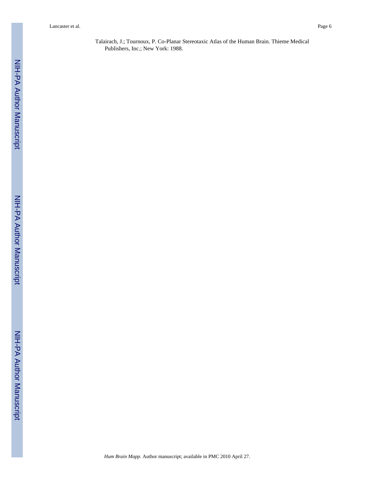Lancaster et al. Page 6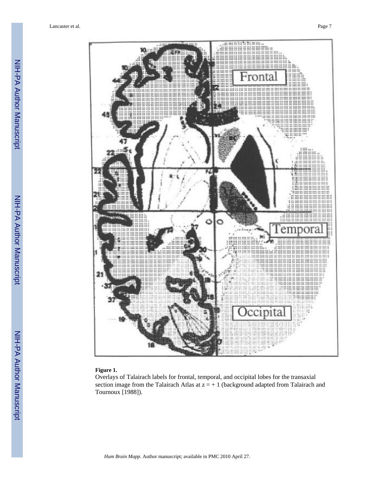

#### **Figure 1.**

Overlays of Talairach labels for frontal, temporal, and occipital lobes for the transaxial section image from the Talairach Atlas at  $z = +1$  (background adapted from Talairach and Tournoux [1988]).